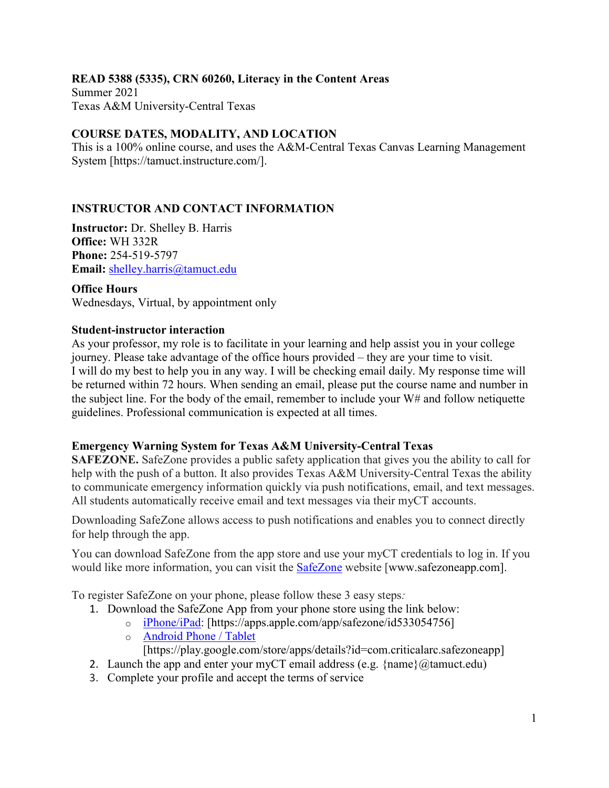### **READ 5388 (5335), CRN 60260, Literacy in the Content Areas**

Summer 2021 Texas A&M University-Central Texas

### **COURSE DATES, MODALITY, AND LOCATION**

This is a 100% online course, and uses the A&M-Central Texas Canvas Learning Management System [https://tamuct.instructure.com/].

## **INSTRUCTOR AND CONTACT INFORMATION**

**Instructor:** Dr. Shelley B. Harris **Office:** WH 332R **Phone:** 254-519-5797 **Email:** [shelley.harris@tamuct.edu](mailto:shelley.harris@tamuct.edu)

**Office Hours** Wednesdays, Virtual, by appointment only

#### **Student-instructor interaction**

As your professor, my role is to facilitate in your learning and help assist you in your college journey. Please take advantage of the office hours provided – they are your time to visit. I will do my best to help you in any way. I will be checking email daily. My response time will be returned within 72 hours. When sending an email, please put the course name and number in the subject line. For the body of the email, remember to include your W# and follow netiquette guidelines. Professional communication is expected at all times.

### **Emergency Warning System for Texas A&M University-Central Texas**

**SAFEZONE.** SafeZone provides a public safety application that gives you the ability to call for help with the push of a button. It also provides Texas A&M University-Central Texas the ability to communicate emergency information quickly via push notifications, email, and text messages. All students automatically receive email and text messages via their myCT accounts.

Downloading SafeZone allows access to push notifications and enables you to connect directly for help through the app.

You can download SafeZone from the app store and use your myCT credentials to log in. If you would like more information, you can visit the [SafeZone](http://www.safezoneapp.com/) website [www.safezoneapp.com].

To register SafeZone on your phone, please follow these 3 easy steps*:*

- 1. Download the SafeZone App from your phone store using the link below:
	- o [iPhone/iPad:](https://apps.apple.com/app/safezone/id533054756) [https://apps.apple.com/app/safezone/id533054756]
	- o [Android Phone / Tablet](https://play.google.com/store/apps/details?id=com.criticalarc.safezoneapp) [https://play.google.com/store/apps/details?id=com.criticalarc.safezoneapp]
- 2. Launch the app and enter your myCT email address (e.g.  $\{\text{name}\}\langle\omega\rangle$  tamuct.edu)
- 3. Complete your profile and accept the terms of service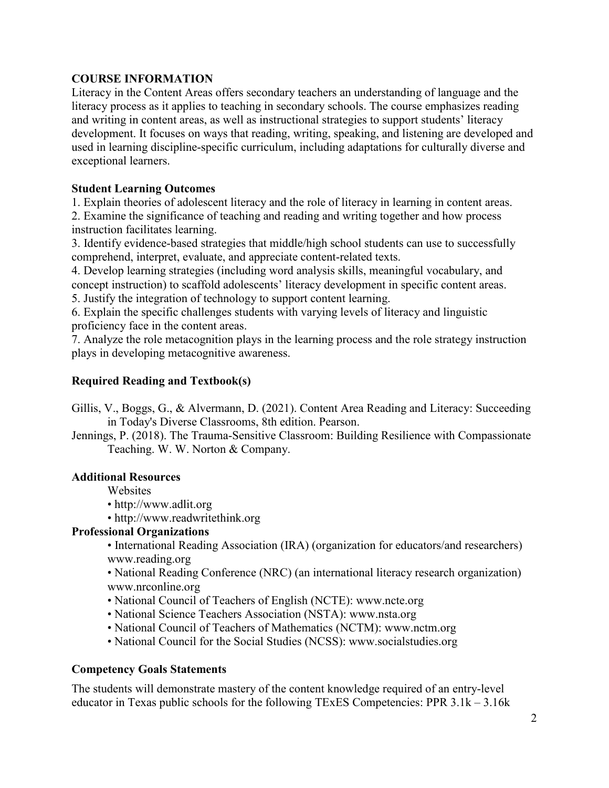### **COURSE INFORMATION**

Literacy in the Content Areas offers secondary teachers an understanding of language and the literacy process as it applies to teaching in secondary schools. The course emphasizes reading and writing in content areas, as well as instructional strategies to support students' literacy development. It focuses on ways that reading, writing, speaking, and listening are developed and used in learning discipline-specific curriculum, including adaptations for culturally diverse and exceptional learners.

## **Student Learning Outcomes**

1. Explain theories of adolescent literacy and the role of literacy in learning in content areas.

2. Examine the significance of teaching and reading and writing together and how process instruction facilitates learning.

3. Identify evidence-based strategies that middle/high school students can use to successfully comprehend, interpret, evaluate, and appreciate content-related texts.

4. Develop learning strategies (including word analysis skills, meaningful vocabulary, and concept instruction) to scaffold adolescents' literacy development in specific content areas. 5. Justify the integration of technology to support content learning.

6. Explain the specific challenges students with varying levels of literacy and linguistic proficiency face in the content areas.

7. Analyze the role metacognition plays in the learning process and the role strategy instruction plays in developing metacognitive awareness.

## **Required Reading and Textbook(s)**

- Gillis, V., Boggs, G., & Alvermann, D. (2021). Content Area Reading and Literacy: Succeeding in Today's Diverse Classrooms, 8th edition. Pearson.
- Jennings, P. (2018). The Trauma-Sensitive Classroom: Building Resilience with Compassionate Teaching. W. W. Norton & Company.

### **Additional Resources**

Websites

- http://www.adlit.org
- http://www.readwritethink.org

## **Professional Organizations**

• International Reading Association (IRA) (organization for educators/and researchers) www.reading.org

• National Reading Conference (NRC) (an international literacy research organization) www.nrconline.org

- National Council of Teachers of English (NCTE): www.ncte.org
- National Science Teachers Association (NSTA): www.nsta.org
- National Council of Teachers of Mathematics (NCTM): www.nctm.org
- National Council for the Social Studies (NCSS): www.socialstudies.org

### **Competency Goals Statements**

The students will demonstrate mastery of the content knowledge required of an entry-level educator in Texas public schools for the following TExES Competencies: PPR 3.1k – 3.16k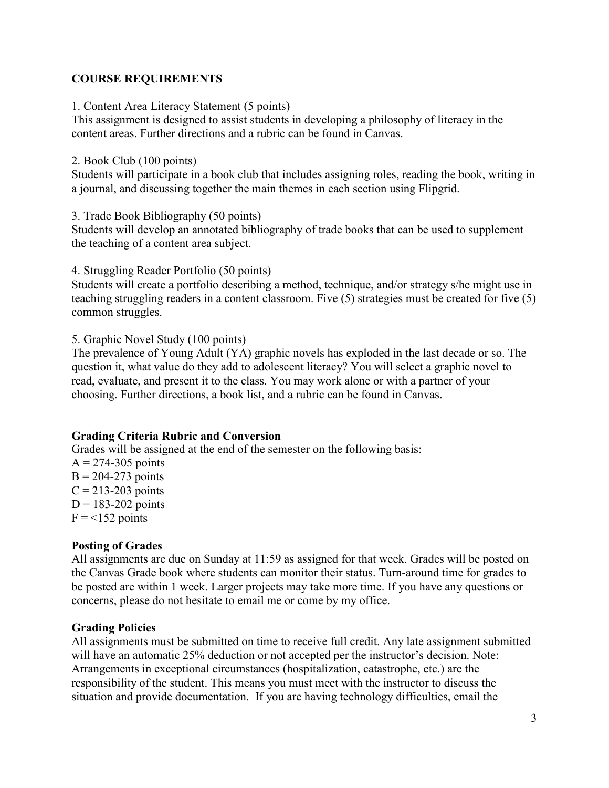#### **COURSE REQUIREMENTS**

1. Content Area Literacy Statement (5 points)

This assignment is designed to assist students in developing a philosophy of literacy in the content areas. Further directions and a rubric can be found in Canvas.

#### 2. Book Club (100 points)

Students will participate in a book club that includes assigning roles, reading the book, writing in a journal, and discussing together the main themes in each section using Flipgrid.

3. Trade Book Bibliography (50 points)

Students will develop an annotated bibliography of trade books that can be used to supplement the teaching of a content area subject.

4. Struggling Reader Portfolio (50 points)

Students will create a portfolio describing a method, technique, and/or strategy s/he might use in teaching struggling readers in a content classroom. Five (5) strategies must be created for five (5) common struggles.

5. Graphic Novel Study (100 points)

The prevalence of Young Adult (YA) graphic novels has exploded in the last decade or so. The question it, what value do they add to adolescent literacy? You will select a graphic novel to read, evaluate, and present it to the class. You may work alone or with a partner of your choosing. Further directions, a book list, and a rubric can be found in Canvas.

#### **Grading Criteria Rubric and Conversion**

Grades will be assigned at the end of the semester on the following basis:

 $A = 274 - 305$  points  $B = 204-273$  points  $C = 213-203$  points  $D = 183 - 202$  points  $F = 152$  points

#### **Posting of Grades**

All assignments are due on Sunday at 11:59 as assigned for that week. Grades will be posted on the Canvas Grade book where students can monitor their status. Turn-around time for grades to be posted are within 1 week. Larger projects may take more time. If you have any questions or concerns, please do not hesitate to email me or come by my office.

#### **Grading Policies**

All assignments must be submitted on time to receive full credit. Any late assignment submitted will have an automatic 25% deduction or not accepted per the instructor's decision. Note: Arrangements in exceptional circumstances (hospitalization, catastrophe, etc.) are the responsibility of the student. This means you must meet with the instructor to discuss the situation and provide documentation. If you are having technology difficulties, email the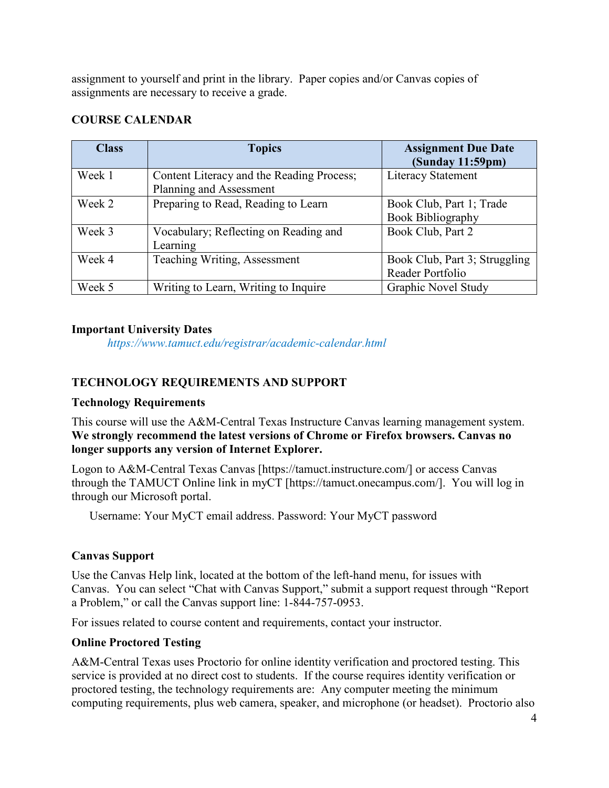assignment to yourself and print in the library. Paper copies and/or Canvas copies of assignments are necessary to receive a grade.

## **COURSE CALENDAR**

| <b>Class</b> | <b>Topics</b>                             | <b>Assignment Due Date</b><br>(Sunday 11:59pm) |
|--------------|-------------------------------------------|------------------------------------------------|
| Week 1       | Content Literacy and the Reading Process; | <b>Literacy Statement</b>                      |
|              | Planning and Assessment                   |                                                |
| Week 2       | Preparing to Read, Reading to Learn       | Book Club, Part 1; Trade                       |
|              |                                           | <b>Book Bibliography</b>                       |
| Week 3       | Vocabulary; Reflecting on Reading and     | Book Club, Part 2                              |
|              | Learning                                  |                                                |
| Week 4       | Teaching Writing, Assessment              | Book Club, Part 3; Struggling                  |
|              |                                           | Reader Portfolio                               |
| Week 5       | Writing to Learn, Writing to Inquire      | <b>Graphic Novel Study</b>                     |

#### **Important University Dates**

*https://www.tamuct.edu/registrar/academic-calendar.html*

## **TECHNOLOGY REQUIREMENTS AND SUPPORT**

### **Technology Requirements**

This course will use the A&M-Central Texas Instructure Canvas learning management system. **We strongly recommend the latest versions of Chrome or Firefox browsers. Canvas no longer supports any version of Internet Explorer.**

Logon to A&M-Central Texas Canvas [https://tamuct.instructure.com/] or access Canvas through the TAMUCT Online link in myCT [https://tamuct.onecampus.com/]. You will log in through our Microsoft portal.

Username: Your MyCT email address. Password: Your MyCT password

### **Canvas Support**

Use the Canvas Help link, located at the bottom of the left-hand menu, for issues with Canvas. You can select "Chat with Canvas Support," submit a support request through "Report a Problem," or call the Canvas support line: 1-844-757-0953.

For issues related to course content and requirements, contact your instructor.

### **Online Proctored Testing**

A&M-Central Texas uses Proctorio for online identity verification and proctored testing. This service is provided at no direct cost to students. If the course requires identity verification or proctored testing, the technology requirements are: Any computer meeting the minimum computing requirements, plus web camera, speaker, and microphone (or headset). Proctorio also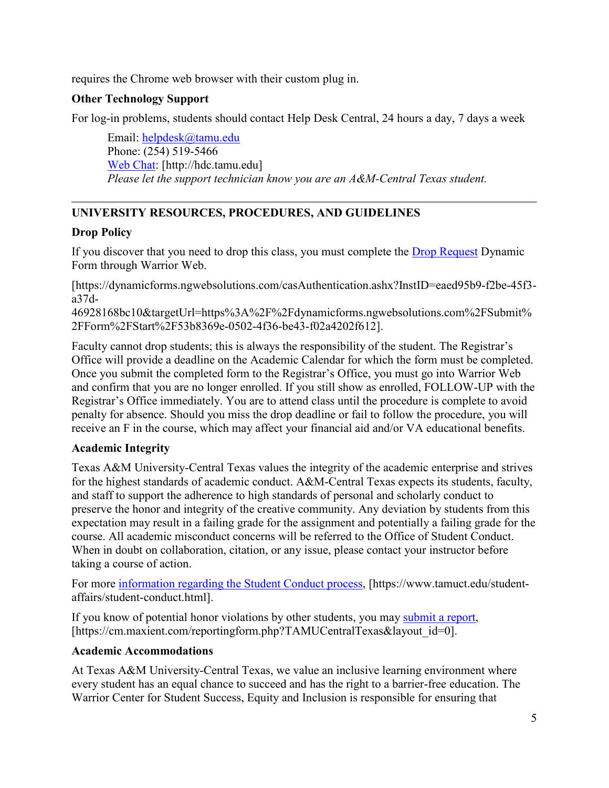requires the Chrome web browser with their custom plug in.

# **Other Technology Support**

For log-in problems, students should contact Help Desk Central, 24 hours a day, 7 days a week

Email: [helpdesk@tamu.edu](mailto:helpdesk@tamu.edu) Phone: (254) 519-5466 [Web Chat:](http://hdc.tamu.edu/) [http://hdc.tamu.edu] *Please let the support technician know you are an A&M-Central Texas student.*

# **UNIVERSITY RESOURCES, PROCEDURES, AND GUIDELINES**

## **Drop Policy**

If you discover that you need to drop this class, you must complete the [Drop Request](https://dynamicforms.ngwebsolutions.com/casAuthentication.ashx?InstID=eaed95b9-f2be-45f3-a37d-46928168bc10&targetUrl=https%3A%2F%2Fdynamicforms.ngwebsolutions.com%2FSubmit%2FForm%2FStart%2F53b8369e-0502-4f36-be43-f02a4202f612) Dynamic Form through Warrior Web.

[https://dynamicforms.ngwebsolutions.com/casAuthentication.ashx?InstID=eaed95b9-f2be-45f3 a37d-

46928168bc10&targetUrl=https%3A%2F%2Fdynamicforms.ngwebsolutions.com%2FSubmit% 2FForm%2FStart%2F53b8369e-0502-4f36-be43-f02a4202f612].

Faculty cannot drop students; this is always the responsibility of the student. The Registrar's Office will provide a deadline on the Academic Calendar for which the form must be completed. Once you submit the completed form to the Registrar's Office, you must go into Warrior Web and confirm that you are no longer enrolled. If you still show as enrolled, FOLLOW-UP with the Registrar's Office immediately. You are to attend class until the procedure is complete to avoid penalty for absence. Should you miss the drop deadline or fail to follow the procedure, you will receive an F in the course, which may affect your financial aid and/or VA educational benefits.

## **Academic Integrity**

Texas A&M University-Central Texas values the integrity of the academic enterprise and strives for the highest standards of academic conduct. A&M-Central Texas expects its students, faculty, and staff to support the adherence to high standards of personal and scholarly conduct to preserve the honor and integrity of the creative community. Any deviation by students from this expectation may result in a failing grade for the assignment and potentially a failing grade for the course. All academic misconduct concerns will be referred to the Office of Student Conduct. When in doubt on collaboration, citation, or any issue, please contact your instructor before taking a course of action.

For more [information](https://nam04.safelinks.protection.outlook.com/?url=https%3A%2F%2Fwww.tamuct.edu%2Fstudent-affairs%2Fstudent-conduct.html&data=04%7C01%7Clisa.bunkowski%40tamuct.edu%7Ccfb6e486f24745f53e1a08d910055cb2%7C9eed4e3000f744849ff193ad8005acec%7C0%7C0%7C637558437485252160%7CUnknown%7CTWFpbGZsb3d8eyJWIjoiMC4wLjAwMDAiLCJQIjoiV2luMzIiLCJBTiI6Ik1haWwiLCJXVCI6Mn0%3D%7C1000&sdata=yjftDEVHvLX%2FhM%2FcFU0B99krV1RgEWR%2BJ%2BhvtoR6TYk%3D&reserved=0) regarding the Student Conduct process, [https://www.tamuct.edu/studentaffairs/student-conduct.html].

If you know of potential honor violations by other students, you may [submit](https://nam04.safelinks.protection.outlook.com/?url=https%3A%2F%2Fcm.maxient.com%2Freportingform.php%3FTAMUCentralTexas%26layout_id%3D0&data=04%7C01%7Clisa.bunkowski%40tamuct.edu%7Ccfb6e486f24745f53e1a08d910055cb2%7C9eed4e3000f744849ff193ad8005acec%7C0%7C0%7C637558437485262157%7CUnknown%7CTWFpbGZsb3d8eyJWIjoiMC4wLjAwMDAiLCJQIjoiV2luMzIiLCJBTiI6Ik1haWwiLCJXVCI6Mn0%3D%7C1000&sdata=CXGkOa6uPDPX1IMZ87z3aZDq2n91xfHKu4MMS43Ejjk%3D&reserved=0) a report, [https://cm.maxient.com/reportingform.php?TAMUCentralTexas&layout\_id=0].

## **Academic Accommodations**

At Texas A&M University-Central Texas, we value an inclusive learning environment where every student has an equal chance to succeed and has the right to a barrier-free education. The Warrior Center for Student Success, Equity and Inclusion is responsible for ensuring that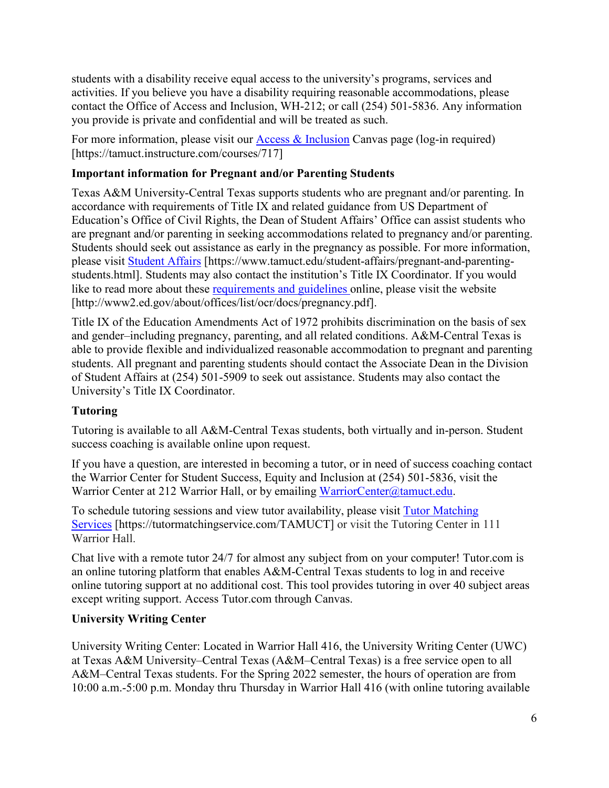students with a disability receive equal access to the university's programs, services and activities. If you believe you have a disability requiring reasonable accommodations, please contact the Office of Access and Inclusion, WH-212; or call (254) 501-5836. Any information you provide is private and confidential and will be treated as such.

For more information, please visit our [Access & Inclusion](https://tamuct.instructure.com/courses/717) Canvas page (log-in required) [https://tamuct.instructure.com/courses/717]

## **Important information for Pregnant and/or Parenting Students**

Texas A&M University-Central Texas supports students who are pregnant and/or parenting. In accordance with requirements of Title IX and related guidance from US Department of Education's Office of Civil Rights, the Dean of Student Affairs' Office can assist students who are pregnant and/or parenting in seeking accommodations related to pregnancy and/or parenting. Students should seek out assistance as early in the pregnancy as possible. For more information, please visit [Student Affairs](https://www.tamuct.edu/student-affairs/pregnant-and-parenting-students.html) [https://www.tamuct.edu/student-affairs/pregnant-and-parentingstudents.html]. Students may also contact the institution's Title IX Coordinator. If you would like to read more about these [requirements and guidelines](http://www2.ed.gov/about/offices/list/ocr/docs/pregnancy.pdf) online, please visit the website [http://www2.ed.gov/about/offices/list/ocr/docs/pregnancy.pdf].

Title IX of the Education Amendments Act of 1972 prohibits discrimination on the basis of sex and gender–including pregnancy, parenting, and all related conditions. A&M-Central Texas is able to provide flexible and individualized reasonable accommodation to pregnant and parenting students. All pregnant and parenting students should contact the Associate Dean in the Division of Student Affairs at (254) 501-5909 to seek out assistance. Students may also contact the University's Title IX Coordinator.

## **Tutoring**

Tutoring is available to all A&M-Central Texas students, both virtually and in-person. Student success coaching is available online upon request.

If you have a question, are interested in becoming a tutor, or in need of success coaching contact the Warrior Center for Student Success, Equity and Inclusion at (254) 501-5836, visit the Warrior Center at 212 Warrior Hall, or by emailing [WarriorCenter@tamuct.edu.](mailto:WarriorCenter@tamuct.edu)

To schedule tutoring sessions and view tutor availability, please visit Tutor [Matching](https://tutormatchingservice.com/TAMUCT) [Services](https://tutormatchingservice.com/TAMUCT) [https://tutormatchingservice.com/TAMUCT] or visit the Tutoring Center in 111 Warrior Hall.

Chat live with a remote tutor 24/7 for almost any subject from on your computer! Tutor.com is an online tutoring platform that enables A&M-Central Texas students to log in and receive online tutoring support at no additional cost. This tool provides tutoring in over 40 subject areas except writing support. Access Tutor.com through Canvas.

## **University Writing Center**

University Writing Center: Located in Warrior Hall 416, the University Writing Center (UWC) at Texas A&M University–Central Texas (A&M–Central Texas) is a free service open to all A&M–Central Texas students. For the Spring 2022 semester, the hours of operation are from 10:00 a.m.-5:00 p.m. Monday thru Thursday in Warrior Hall 416 (with online tutoring available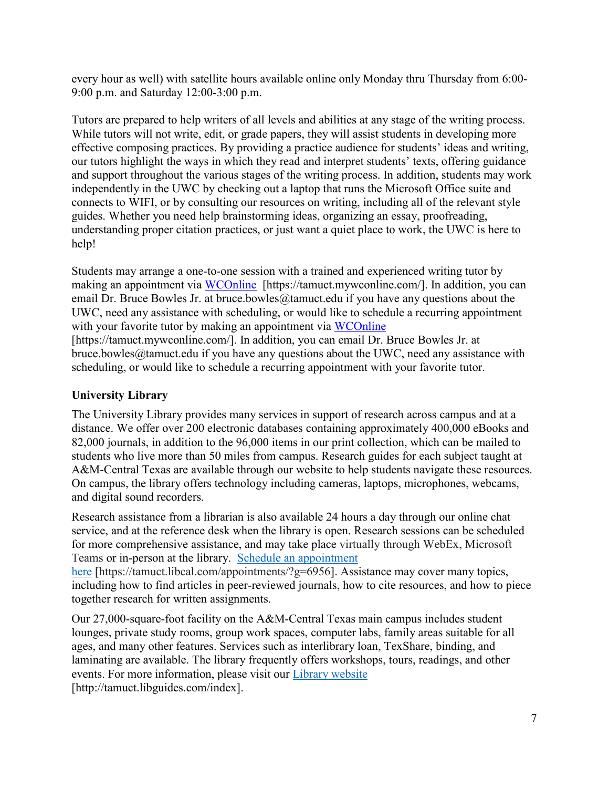every hour as well) with satellite hours available online only Monday thru Thursday from 6:00- 9:00 p.m. and Saturday 12:00-3:00 p.m.

Tutors are prepared to help writers of all levels and abilities at any stage of the writing process. While tutors will not write, edit, or grade papers, they will assist students in developing more effective composing practices. By providing a practice audience for students' ideas and writing, our tutors highlight the ways in which they read and interpret students' texts, offering guidance and support throughout the various stages of the writing process. In addition, students may work independently in the UWC by checking out a laptop that runs the Microsoft Office suite and connects to WIFI, or by consulting our resources on writing, including all of the relevant style guides. Whether you need help brainstorming ideas, organizing an essay, proofreading, understanding proper citation practices, or just want a quiet place to work, the UWC is here to help!

Students may arrange a one-to-one session with a trained and experienced writing tutor by making an appointment via [WCOnline](https://tamuct.mywconline.com/) [https://tamuct.mywconline.com/]. In addition, you can email Dr. Bruce Bowles Jr. at bruce.bowles  $@$ tamuct.edu if you have any questions about the UWC, need any assistance with scheduling, or would like to schedule a recurring appointment with your favorite tutor by making an appointment via [WCOnline](https://tamuct.mywconline.com/)

[https://tamuct.mywconline.com/]. In addition, you can email Dr. Bruce Bowles Jr. at bruce.bowles@tamuct.edu if you have any questions about the UWC, need any assistance with scheduling, or would like to schedule a recurring appointment with your favorite tutor.

## **University Library**

The University Library provides many services in support of research across campus and at a distance. We offer over 200 electronic databases containing approximately 400,000 eBooks and 82,000 journals, in addition to the 96,000 items in our print collection, which can be mailed to students who live more than 50 miles from campus. Research guides for each subject taught at A&M-Central Texas are available through our website to help students navigate these resources. On campus, the library offers technology including cameras, laptops, microphones, webcams, and digital sound recorders.

Research assistance from a librarian is also available 24 hours a day through our online chat service, and at the reference desk when the library is open. Research sessions can be scheduled for more comprehensive assistance, and may take place virtually through WebEx, Microsoft Teams or in-person at the library. Schedule an [appointment](https://nam04.safelinks.protection.outlook.com/?url=https%3A%2F%2Ftamuct.libcal.com%2Fappointments%2F%3Fg%3D6956&data=04%7C01%7Clisa.bunkowski%40tamuct.edu%7Cde2c07d9f5804f09518008d9ab7ba6ff%7C9eed4e3000f744849ff193ad8005acec%7C0%7C0%7C637729369835011558%7CUnknown%7CTWFpbGZsb3d8eyJWIjoiMC4wLjAwMDAiLCJQIjoiV2luMzIiLCJBTiI6Ik1haWwiLCJXVCI6Mn0%3D%7C3000&sdata=KhtjgRSAw9aq%2FoBsB6wyu8b7PSuGN5EGPypzr3Ty2No%3D&reserved=0) [here](https://nam04.safelinks.protection.outlook.com/?url=https%3A%2F%2Ftamuct.libcal.com%2Fappointments%2F%3Fg%3D6956&data=04%7C01%7Clisa.bunkowski%40tamuct.edu%7Cde2c07d9f5804f09518008d9ab7ba6ff%7C9eed4e3000f744849ff193ad8005acec%7C0%7C0%7C637729369835011558%7CUnknown%7CTWFpbGZsb3d8eyJWIjoiMC4wLjAwMDAiLCJQIjoiV2luMzIiLCJBTiI6Ik1haWwiLCJXVCI6Mn0%3D%7C3000&sdata=KhtjgRSAw9aq%2FoBsB6wyu8b7PSuGN5EGPypzr3Ty2No%3D&reserved=0) [https://tamuct.libcal.com/appointments/?g=6956]. Assistance may cover many topics, including how to find articles in peer-reviewed journals, how to cite resources, and how to piece together research for written assignments.

Our 27,000-square-foot facility on the A&M-Central Texas main campus includes student lounges, private study rooms, group work spaces, computer labs, family areas suitable for all ages, and many other features. Services such as interlibrary loan, TexShare, binding, and laminating are available. The library frequently offers workshops, tours, readings, and other events. For more information, please visit our Library [website](https://nam04.safelinks.protection.outlook.com/?url=https%3A%2F%2Ftamuct.libguides.com%2Findex&data=04%7C01%7Clisa.bunkowski%40tamuct.edu%7C7d8489e8839a4915335f08d916f067f2%7C9eed4e3000f744849ff193ad8005acec%7C0%7C0%7C637566044056484222%7CUnknown%7CTWFpbGZsb3d8eyJWIjoiMC4wLjAwMDAiLCJQIjoiV2luMzIiLCJBTiI6Ik1haWwiLCJXVCI6Mn0%3D%7C1000&sdata=2R755V6rcIyedGrd4Os5rkgn1PvhHKU3kUV1vBKiHFo%3D&reserved=0) [http://tamuct.libguides.com/index].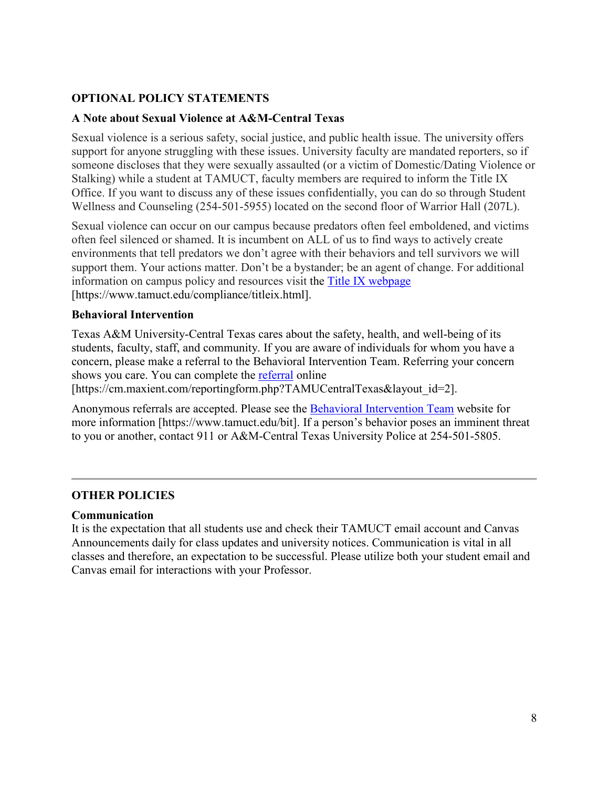## **OPTIONAL POLICY STATEMENTS**

#### **A Note about Sexual Violence at A&M-Central Texas**

Sexual violence is a serious safety, social justice, and public health issue. The university offers support for anyone struggling with these issues. University faculty are mandated reporters, so if someone discloses that they were sexually assaulted (or a victim of Domestic/Dating Violence or Stalking) while a student at TAMUCT, faculty members are required to inform the Title IX Office. If you want to discuss any of these issues confidentially, you can do so through Student Wellness and Counseling (254-501-5955) located on the second floor of Warrior Hall (207L).

Sexual violence can occur on our campus because predators often feel emboldened, and victims often feel silenced or shamed. It is incumbent on ALL of us to find ways to actively create environments that tell predators we don't agree with their behaviors and tell survivors we will support them. Your actions matter. Don't be a bystander; be an agent of change. For additional information on campus policy and resources visit the [Title IX webpage](https://www.tamuct.edu/compliance/titleix.html) [\[https://www.tamuct.edu/compliance/titleix.html\]](https://www.tamuct.edu/compliance/titleix.html).

#### **Behavioral Intervention**

Texas A&M University-Central Texas cares about the safety, health, and well-being of its students, faculty, staff, and community. If you are aware of individuals for whom you have a concern, please make a referral to the Behavioral Intervention Team. Referring your concern shows you care. You can complete the [referral](https://cm.maxient.com/reportingform.php?TAMUCentralTexas&layout_id=2) online

[https://cm.maxient.com/reportingform.php?TAMUCentralTexas&layout\_id=2].

Anonymous referrals are accepted. Please see the [Behavioral Intervention Team](https://www.tamuct.edu/bit) website for more information [https://www.tamuct.edu/bit]. If a person's behavior poses an imminent threat to you or another, contact 911 or A&M-Central Texas University Police at 254-501-5805.

### **OTHER POLICIES**

#### **Communication**

It is the expectation that all students use and check their TAMUCT email account and Canvas Announcements daily for class updates and university notices. Communication is vital in all classes and therefore, an expectation to be successful. Please utilize both your student email and Canvas email for interactions with your Professor.